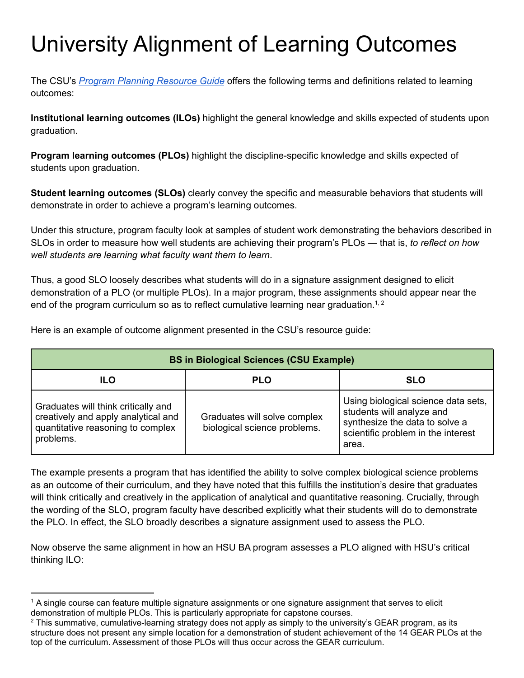## University Alignment of Learning Outcomes

The CSU's *Program Planning [Resource](https://drive.google.com/file/d/1I--1wJnB6TsUh0tz8TBQEJVVuXzUw_un/view?usp=sharing) Guide* offers the following terms and definitions related to learning outcomes:

**Institutional learning outcomes (ILOs)** highlight the general knowledge and skills expected of students upon graduation.

**Program learning outcomes (PLOs)** highlight the discipline-specific knowledge and skills expected of students upon graduation.

**Student learning outcomes (SLOs)** clearly convey the specific and measurable behaviors that students will demonstrate in order to achieve a program's learning outcomes.

Under this structure, program faculty look at samples of student work demonstrating the behaviors described in SLOs in order to measure how well students are achieving their program's PLOs — that is, *to reflect on how well students are learning what faculty want them to learn*.

Thus, a good SLO loosely describes what students will do in a signature assignment designed to elicit demonstration of a PLO (or multiple PLOs). In a major program, these assignments should appear near the end of the program curriculum so as to reflect cumulative learning near graduation.<sup>1,2</sup>

**BS in Biological Sciences (CSU Example) ILO PLO SLO** Graduates will think critically and creatively and apply analytical and quantitative reasoning to complex problems. Graduates will solve complex biological science problems. Using biological science data sets, students will analyze and synthesize the data to solve a scientific problem in the interest area.

Here is an example of outcome alignment presented in the CSU's resource guide:

The example presents a program that has identified the ability to solve complex biological science problems as an outcome of their curriculum, and they have noted that this fulfills the institution's desire that graduates will think critically and creatively in the application of analytical and quantitative reasoning. Crucially, through the wording of the SLO, program faculty have described explicitly what their students will do to demonstrate the PLO. In effect, the SLO broadly describes a signature assignment used to assess the PLO.

Now observe the same alignment in how an HSU BA program assesses a PLO aligned with HSU's critical thinking ILO:

<sup>&</sup>lt;sup>1</sup> A single course can feature multiple signature assignments or one signature assignment that serves to elicit demonstration of multiple PLOs. This is particularly appropriate for capstone courses.

 $2$  This summative, cumulative-learning strategy does not apply as simply to the university's GEAR program, as its structure does not present any simple location for a demonstration of student achievement of the 14 GEAR PLOs at the top of the curriculum. Assessment of those PLOs will thus occur across the GEAR curriculum.